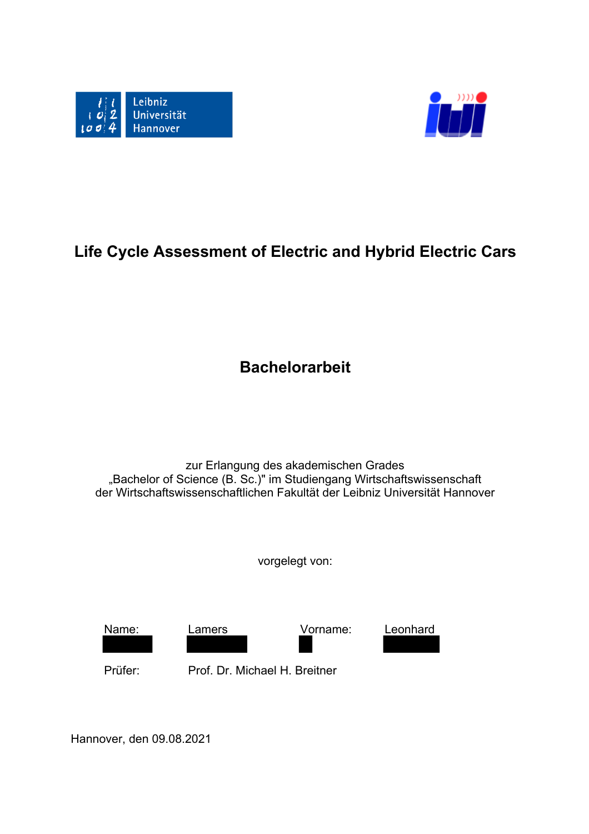



# **Life Cycle Assessment of Electric and Hybrid Electric Cars**

**Bachelorarbeit**

zur Erlangung des akademischen Grades "Bachelor of Science (B. Sc.)" im Studiengang Wirtschaftswissenschaft der Wirtschaftswissenschaftlichen Fakultät der Leibniz Universität Hannover

vorgelegt von:



Hannover, den 09.08.2021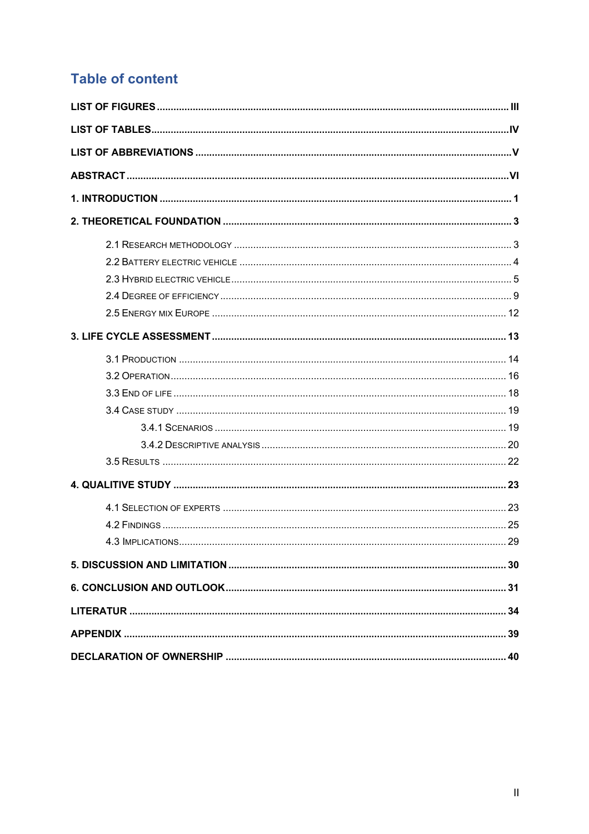## **Table of content**

| 4 3 IMPLICATIONS | 29 |
|------------------|----|
|                  |    |
|                  |    |
|                  |    |
|                  |    |
|                  |    |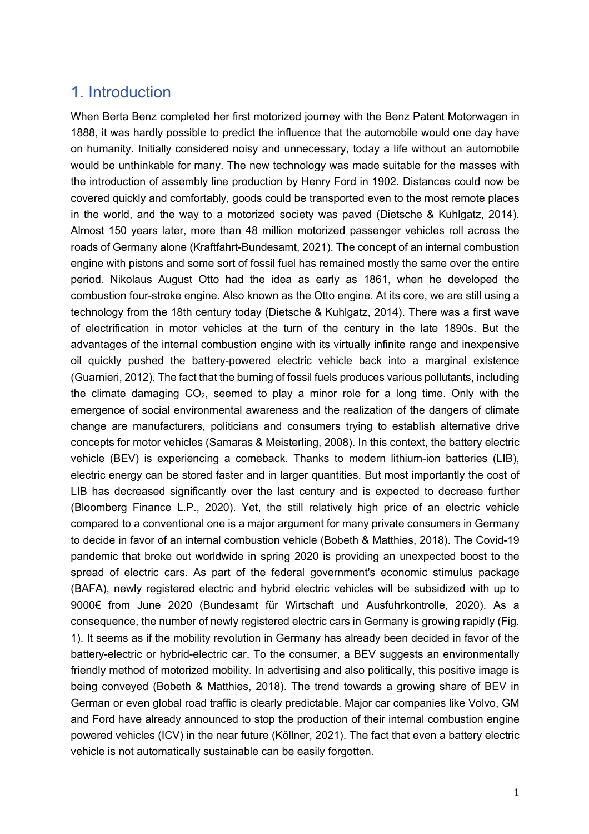### 1. Introduction

When Berta Benz completed her first motorized journey with the Benz Patent Motorwagen in 1888, it was hardly possible to predict the influence that the automobile would one day have on humanity. Initially considered noisy and unnecessary, today a life without an automobile would be unthinkable for many. The new technology was made suitable for the masses with the introduction of assembly line production by Henry Ford in 1902. Distances could now be covered quickly and comfortably, goods could be transported even to the most remote places in the world, and the way to a motorized society was paved (Dietsche & Kuhlgatz, 2014). Almost 150 years later, more than 48 million motorized passenger vehicles roll across the roads of Germany alone (Kraftfahrt-Bundesamt, 2021). The concept of an internal combustion engine with pistons and some sort of fossil fuel has remained mostly the same over the entire period. Nikolaus August Otto had the idea as early as 1861, when he developed the combustion four-stroke engine. Also known as the Otto engine. At its core, we are still using a technology from the 18th century today (Dietsche & Kuhlgatz, 2014). There was a first wave of electrification in motor vehicles at the turn of the century in the late 1890s. But the advantages of the internal combustion engine with its virtually infinite range and inexpensive oil quickly pushed the battery-powered electric vehicle back into a marginal existence (Guarnieri, 2012). The fact that the burning of fossil fuels produces various pollutants, including the climate damaging  $CO<sub>2</sub>$ , seemed to play a minor role for a long time. Only with the emergence of social environmental awareness and the realization of the dangers of climate change are manufacturers, politicians and consumers trying to establish alternative drive concepts for motor vehicles (Samaras & Meisterling, 2008). In this context, the battery electric vehicle (BEV) is experiencing a comeback. Thanks to modern lithium-ion batteries (LIB), electric energy can be stored faster and in larger quantities. But most importantly the cost of LIB has decreased significantly over the last century and is expected to decrease further (Bloomberg Finance L.P., 2020). Yet, the still relatively high price of an electric vehicle compared to a conventional one is a major argument for many private consumers in Germany to decide in favor of an internal combustion vehicle (Bobeth & Matthies, 2018). The Covid-19 pandemic that broke out worldwide in spring 2020 is providing an unexpected boost to the spread of electric cars. As part of the federal government's economic stimulus package (BAFA), newly registered electric and hybrid electric vehicles will be subsidized with up to 9000€ from June 2020 (Bundesamt für Wirtschaft und Ausfuhrkontrolle, 2020). As a consequence, the number of newly registered electric cars in Germany is growing rapidly (Fig. 1). It seems as if the mobility revolution in Germany has already been decided in favor of the battery-electric or hybrid-electric car. To the consumer, a BEV suggests an environmentally friendly method of motorized mobility. In advertising and also politically, this positive image is being conveyed (Bobeth & Matthies, 2018). The trend towards a growing share of BEV in German or even global road traffic is clearly predictable. Major car companies like Volvo, GM and Ford have already announced to stop the production of their internal combustion engine powered vehicles (ICV) in the near future (Köllner, 2021). The fact that even a battery electric vehicle is not automatically sustainable can be easily forgotten.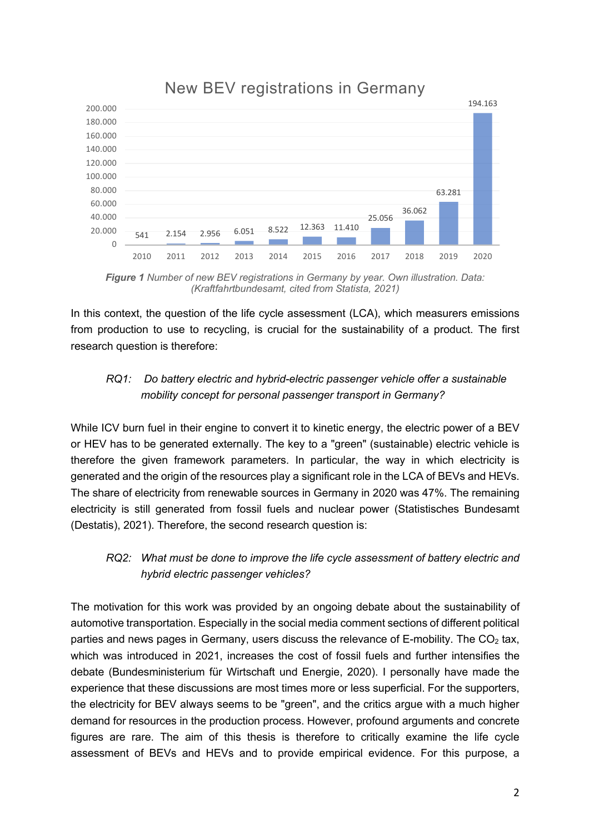

### New BEV registrations in Germany

*Figure 1 Number of new BEV registrations in Germany by year. Own illustration. Data: (Kraftfahrtbundesamt, cited from Statista, 2021)*

In this context, the question of the life cycle assessment (LCA), which measurers emissions from production to use to recycling, is crucial for the sustainability of a product. The first research question is therefore:

### *RQ1: Do battery electric and hybrid-electric passenger vehicle offer a sustainable mobility concept for personal passenger transport in Germany?*

While ICV burn fuel in their engine to convert it to kinetic energy, the electric power of a BEV or HEV has to be generated externally. The key to a "green" (sustainable) electric vehicle is therefore the given framework parameters. In particular, the way in which electricity is generated and the origin of the resources play a significant role in the LCA of BEVs and HEVs. The share of electricity from renewable sources in Germany in 2020 was 47%. The remaining electricity is still generated from fossil fuels and nuclear power (Statistisches Bundesamt (Destatis), 2021). Therefore, the second research question is:

#### *RQ2: What must be done to improve the life cycle assessment of battery electric and hybrid electric passenger vehicles?*

The motivation for this work was provided by an ongoing debate about the sustainability of automotive transportation. Especially in the social media comment sections of different political parties and news pages in Germany, users discuss the relevance of E-mobility. The  $CO<sub>2</sub>$  tax, which was introduced in 2021, increases the cost of fossil fuels and further intensifies the debate (Bundesministerium für Wirtschaft und Energie, 2020). I personally have made the experience that these discussions are most times more or less superficial. For the supporters, the electricity for BEV always seems to be "green", and the critics argue with a much higher demand for resources in the production process. However, profound arguments and concrete figures are rare. The aim of this thesis is therefore to critically examine the life cycle assessment of BEVs and HEVs and to provide empirical evidence. For this purpose, a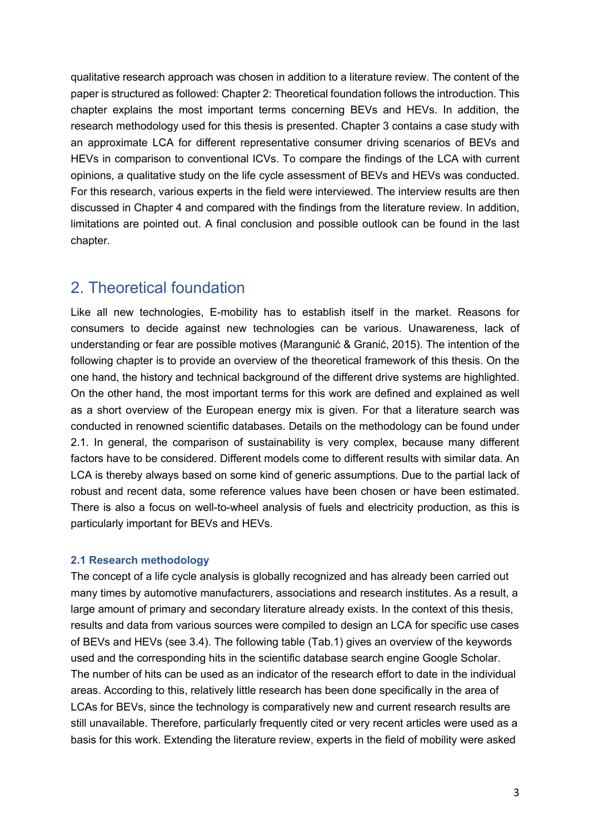qualitative research approach was chosen in addition to a literature review. The content of the paper is structured as followed: Chapter 2: Theoretical foundation follows the introduction. This chapter explains the most important terms concerning BEVs and HEVs. In addition, the research methodology used for this thesis is presented. Chapter 3 contains a case study with an approximate LCA for different representative consumer driving scenarios of BEVs and HEVs in comparison to conventional ICVs. To compare the findings of the LCA with current opinions, a qualitative study on the life cycle assessment of BEVs and HEVs was conducted. For this research, various experts in the field were interviewed. The interview results are then discussed in Chapter 4 and compared with the findings from the literature review. In addition, limitations are pointed out. A final conclusion and possible outlook can be found in the last chapter.

### 2. Theoretical foundation

Like all new technologies, E-mobility has to establish itself in the market. Reasons for consumers to decide against new technologies can be various. Unawareness, lack of understanding or fear are possible motives (Marangunić & Granić, 2015). The intention of the following chapter is to provide an overview of the theoretical framework of this thesis. On the one hand, the history and technical background of the different drive systems are highlighted. On the other hand, the most important terms for this work are defined and explained as well as a short overview of the European energy mix is given. For that a literature search was conducted in renowned scientific databases. Details on the methodology can be found under 2.1. In general, the comparison of sustainability is very complex, because many different factors have to be considered. Different models come to different results with similar data. An LCA is thereby always based on some kind of generic assumptions. Due to the partial lack of robust and recent data, some reference values have been chosen or have been estimated. There is also a focus on well-to-wheel analysis of fuels and electricity production, as this is particularly important for BEVs and HEVs.

#### **2.1 Research methodology**

The concept of a life cycle analysis is globally recognized and has already been carried out many times by automotive manufacturers, associations and research institutes. As a result, a large amount of primary and secondary literature already exists. In the context of this thesis, results and data from various sources were compiled to design an LCA for specific use cases of BEVs and HEVs (see 3.4). The following table (Tab.1) gives an overview of the keywords used and the corresponding hits in the scientific database search engine Google Scholar. The number of hits can be used as an indicator of the research effort to date in the individual areas. According to this, relatively little research has been done specifically in the area of LCAs for BEVs, since the technology is comparatively new and current research results are still unavailable. Therefore, particularly frequently cited or very recent articles were used as a basis for this work. Extending the literature review, experts in the field of mobility were asked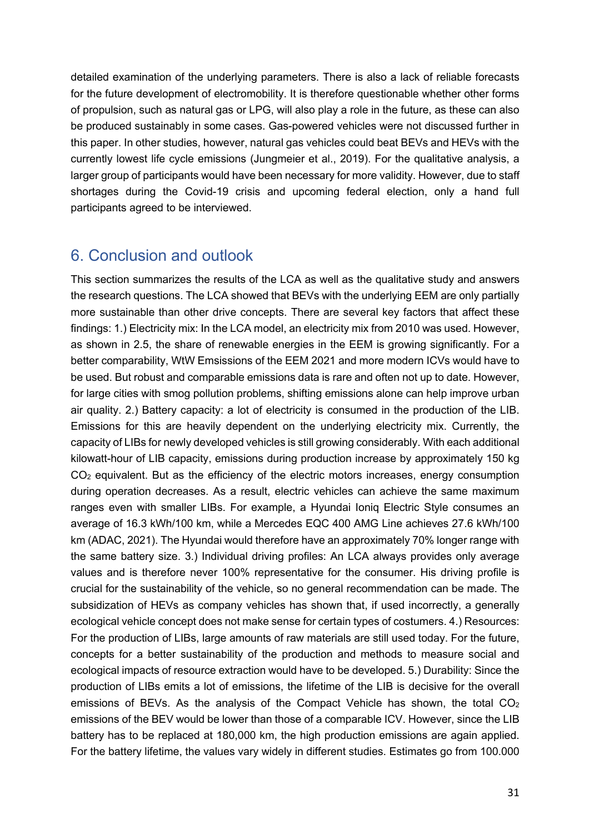detailed examination of the underlying parameters. There is also a lack of reliable forecasts for the future development of electromobility. It is therefore questionable whether other forms of propulsion, such as natural gas or LPG, will also play a role in the future, as these can also be produced sustainably in some cases. Gas-powered vehicles were not discussed further in this paper. In other studies, however, natural gas vehicles could beat BEVs and HEVs with the currently lowest life cycle emissions (Jungmeier et al., 2019). For the qualitative analysis, a larger group of participants would have been necessary for more validity. However, due to staff shortages during the Covid-19 crisis and upcoming federal election, only a hand full participants agreed to be interviewed.

### 6. Conclusion and outlook

This section summarizes the results of the LCA as well as the qualitative study and answers the research questions. The LCA showed that BEVs with the underlying EEM are only partially more sustainable than other drive concepts. There are several key factors that affect these findings: 1.) Electricity mix: In the LCA model, an electricity mix from 2010 was used. However, as shown in 2.5, the share of renewable energies in the EEM is growing significantly. For a better comparability, WtW Emsissions of the EEM 2021 and more modern ICVs would have to be used. But robust and comparable emissions data is rare and often not up to date. However, for large cities with smog pollution problems, shifting emissions alone can help improve urban air quality. 2.) Battery capacity: a lot of electricity is consumed in the production of the LIB. Emissions for this are heavily dependent on the underlying electricity mix. Currently, the capacity of LIBs for newly developed vehicles is still growing considerably. With each additional kilowatt-hour of LIB capacity, emissions during production increase by approximately 150 kg  $CO<sub>2</sub>$  equivalent. But as the efficiency of the electric motors increases, energy consumption during operation decreases. As a result, electric vehicles can achieve the same maximum ranges even with smaller LIBs. For example, a Hyundai Ioniq Electric Style consumes an average of 16.3 kWh/100 km, while a Mercedes EQC 400 AMG Line achieves 27.6 kWh/100 km (ADAC, 2021). The Hyundai would therefore have an approximately 70% longer range with the same battery size. 3.) Individual driving profiles: An LCA always provides only average values and is therefore never 100% representative for the consumer. His driving profile is crucial for the sustainability of the vehicle, so no general recommendation can be made. The subsidization of HEVs as company vehicles has shown that, if used incorrectly, a generally ecological vehicle concept does not make sense for certain types of costumers. 4.) Resources: For the production of LIBs, large amounts of raw materials are still used today. For the future, concepts for a better sustainability of the production and methods to measure social and ecological impacts of resource extraction would have to be developed. 5.) Durability: Since the production of LIBs emits a lot of emissions, the lifetime of the LIB is decisive for the overall emissions of BEVs. As the analysis of the Compact Vehicle has shown, the total  $CO<sub>2</sub>$ emissions of the BEV would be lower than those of a comparable ICV. However, since the LIB battery has to be replaced at 180,000 km, the high production emissions are again applied. For the battery lifetime, the values vary widely in different studies. Estimates go from 100.000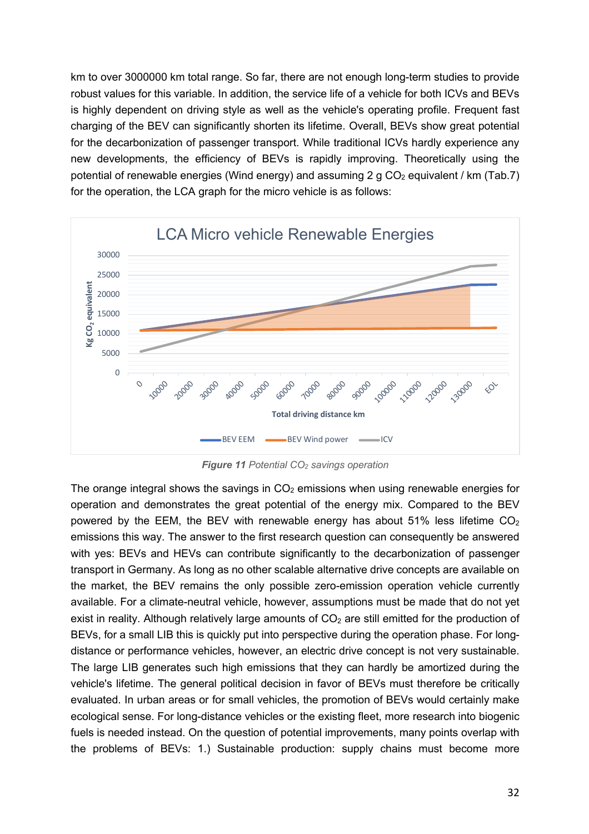km to over 3000000 km total range. So far, there are not enough long-term studies to provide robust values for this variable. In addition, the service life of a vehicle for both ICVs and BEVs is highly dependent on driving style as well as the vehicle's operating profile. Frequent fast charging of the BEV can significantly shorten its lifetime. Overall, BEVs show great potential for the decarbonization of passenger transport. While traditional ICVs hardly experience any new developments, the efficiency of BEVs is rapidly improving. Theoretically using the potential of renewable energies (Wind energy) and assuming 2 g  $CO<sub>2</sub>$  equivalent / km (Tab.7) for the operation, the LCA graph for the micro vehicle is as follows:



*Figure 11 Potential CO2 savings operation*

The orange integral shows the savings in  $CO<sub>2</sub>$  emissions when using renewable energies for operation and demonstrates the great potential of the energy mix. Compared to the BEV powered by the EEM, the BEV with renewable energy has about 51% less lifetime  $CO<sub>2</sub>$ emissions this way. The answer to the first research question can consequently be answered with yes: BEVs and HEVs can contribute significantly to the decarbonization of passenger transport in Germany. As long as no other scalable alternative drive concepts are available on the market, the BEV remains the only possible zero-emission operation vehicle currently available. For a climate-neutral vehicle, however, assumptions must be made that do not yet exist in reality. Although relatively large amounts of  $CO<sub>2</sub>$  are still emitted for the production of BEVs, for a small LIB this is quickly put into perspective during the operation phase. For longdistance or performance vehicles, however, an electric drive concept is not very sustainable. The large LIB generates such high emissions that they can hardly be amortized during the vehicle's lifetime. The general political decision in favor of BEVs must therefore be critically evaluated. In urban areas or for small vehicles, the promotion of BEVs would certainly make ecological sense. For long-distance vehicles or the existing fleet, more research into biogenic fuels is needed instead. On the question of potential improvements, many points overlap with the problems of BEVs: 1.) Sustainable production: supply chains must become more